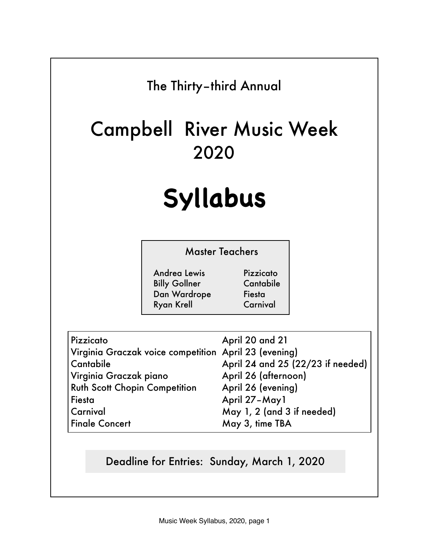# The Thirty–third Annual

# Campbell River Music Week 2020

# **Syllabus**

| <b>Master Teachers</b> |           |
|------------------------|-----------|
| <b>Andrea Lewis</b>    | Pizzicato |
| <b>Billy Gollner</b>   | Cantabile |
| Dan Wardrope           | Fiesta    |
| <b>Ryan Krell</b>      | Carnival  |

| Pizzicato                                             | April 20 and 21                   |
|-------------------------------------------------------|-----------------------------------|
| Virginia Graczak voice competition April 23 (evening) |                                   |
| Cantabile                                             | April 24 and 25 (22/23 if needed) |
| Virginia Graczak piano                                | April 26 (afternoon)              |
| <b>Ruth Scott Chopin Competition</b>                  | April 26 (evening)                |
| Fiesta                                                | April 27-May1                     |
| Carnival                                              | May 1, 2 (and 3 if needed)        |
| <b>Finale Concert</b>                                 | May 3, time TBA                   |

# Deadline for Entries: Sunday, March 1, 2020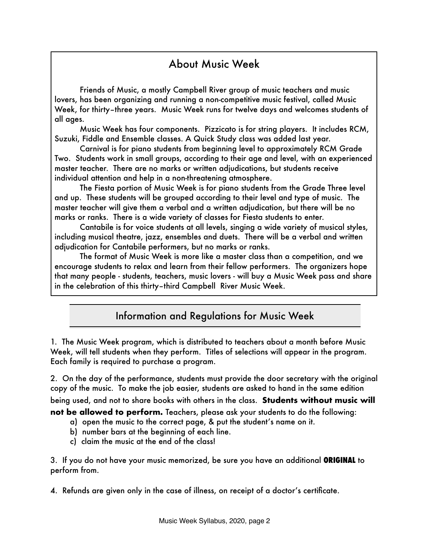## About Music Week

Friends of Music, a mostly Campbell River group of music teachers and music lovers, has been organizing and running a non-competitive music festival, called Music Week, for thirty–three years. Music Week runs for twelve days and welcomes students of all ages.

Music Week has four components. Pizzicato is for string players. It includes RCM, Suzuki, Fiddle and Ensemble classes. A Quick Study class was added last year.

Carnival is for piano students from beginning level to approximately RCM Grade Two. Students work in small groups, according to their age and level, with an experienced master teacher. There are no marks or written adjudications, but students receive individual attention and help in a non-threatening atmosphere.

The Fiesta portion of Music Week is for piano students from the Grade Three level and up. These students will be grouped according to their level and type of music. The master teacher will give them a verbal and a written adjudication, but there will be no marks or ranks. There is a wide variety of classes for Fiesta students to enter.

Cantabile is for voice students at all levels, singing a wide variety of musical styles, including musical theatre, jazz, ensembles and duets. There will be a verbal and written adjudication for Cantabile performers, but no marks or ranks.

The format of Music Week is more like a master class than a competition, and we encourage students to relax and learn from their fellow performers. The organizers hope that many people - students, teachers, music lovers - will buy a Music Week pass and share in the celebration of this thirty–third Campbell River Music Week.

#### Information and Regulations for Music Week

1. The Music Week program, which is distributed to teachers about a month before Music Week, will tell students when they perform. Titles of selections will appear in the program. Each family is required to purchase a program.

2. On the day of the performance, students must provide the door secretary with the original copy of the music. To make the job easier, students are asked to hand in the same edition being used, and not to share books with others in the class. **Students without music will not be allowed to perform.** Teachers, please ask your students to do the following:

- a) open the music to the correct page, & put the student's name on it.
- b) number bars at the beginning of each line.
- c) claim the music at the end of the class!

3. If you do not have your music memorized, be sure you have an additional **ORIGINAL** to perform from.

4. Refunds are given only in the case of illness, on receipt of a doctor's certificate.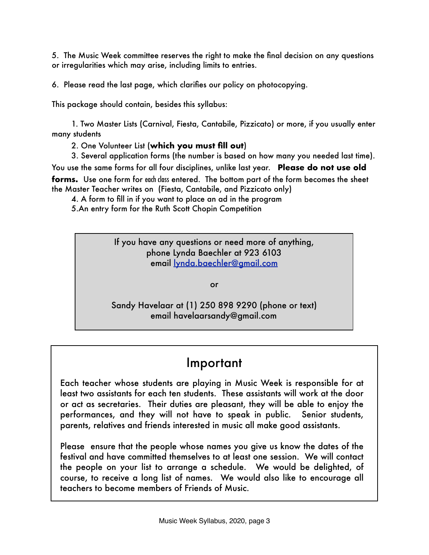5. The Music Week committee reserves the right to make the final decision on any questions or irregularities which may arise, including limits to entries.

6. Please read the last page, which clarifies our policy on photocopying.

This package should contain, besides this syllabus:

1. Two Master Lists (Carnival, Fiesta, Cantabile, Pizzicato) or more, if you usually enter many students

2. One Volunteer List (**which you must fill out**)

3. Several application forms (the number is based on how many you needed last time).

You use the same forms for all four disciplines, unlike last year. **Please do not use old forms.** Use one form for each class entered. The bottom part of the form becomes the sheet the Master Teacher writes on (Fiesta, Cantabile, and Pizzicato only)

4. A form to fill in if you want to place an ad in the program

5.An entry form for the Ruth Scott Chopin Competition

If you have any questions or need more of anything, phone Lynda Baechler at 923 6103 email [lynda.baechler@gmail.com](mailto:lynda.baechler@gmail.com)

or

Sandy Havelaar at (1) 250 898 9290 (phone or text) email havelaarsandy@gmail.com

# Important

Each teacher whose students are playing in Music Week is responsible for at least two assistants for each ten students. These assistants will work at the door or act as secretaries. Their duties are pleasant, they will be able to enjoy the performances, and they will not have to speak in public. Senior students, parents, relatives and friends interested in music all make good assistants.

Please ensure that the people whose names you give us know the dates of the festival and have committed themselves to at least one session. We will contact the people on your list to arrange a schedule. We would be delighted, of course, to receive a long list of names. We would also like to encourage all teachers to become members of Friends of Music.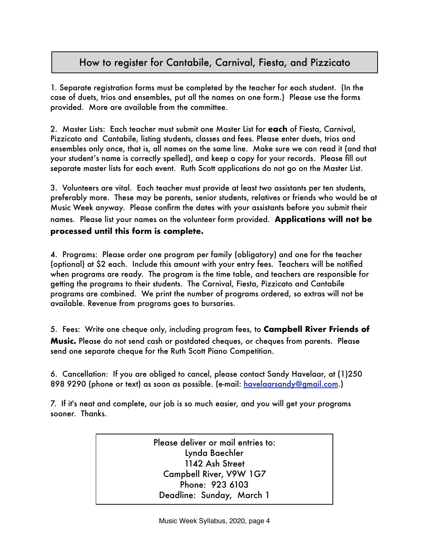#### How to register for Cantabile, Carnival, Fiesta, and Pizzicato

1. Separate registration forms must be completed by the teacher for each student. (In the case of duets, trios and ensembles, put all the names on one form.) Please use the forms provided. More are available from the committee.

2. Master Lists: Each teacher must submit one Master List for **each** of Fiesta, Carnival, Pizzicato and Cantabile, listing students, classes and fees. Please enter duets, trios and ensembles only once, that is, all names on the same line. Make sure we can read it (and that your student's name is correctly spelled), and keep a copy for your records. Please fill out separate master lists for each event. Ruth Scott applications do not go on the Master List.

3. Volunteers are vital. Each teacher must provide at least two assistants per ten students, preferably more. These may be parents, senior students, relatives or friends who would be at Music Week anyway. Please confirm the dates with your assistants before you submit their names. Please list your names on the volunteer form provided. **Applications will not be processed until this form is complete.** 

4. Programs: Please order one program per family (obligatory) and one for the teacher (optional) at \$2 each. Include this amount with your entry fees. Teachers will be notified when programs are ready. The program is the time table, and teachers are responsible for getting the programs to their students. The Carnival, Fiesta, Pizzicato and Cantabile programs are combined. We print the number of programs ordered, so extras will not be available. Revenue from programs goes to bursaries.

5. Fees: Write one cheque only, including program fees, to **Campbell River Friends of Music.** Please do not send cash or postdated cheques, or cheques from parents. Please send one separate cheque for the Ruth Scott Piano Competition.

6. Cancellation: If you are obliged to cancel, please contact Sandy Havelaar, at (1)250 898 9290 (phone or text) as soon as possible. (e-mail: [havelaarsandy@gmail.com.](mailto:havelaarsandy@gmail.com))

7. If it's neat and complete, our job is so much easier, and you will get your programs sooner. Thanks.

> Please deliver or mail entries to: Lynda Baechler 1142 Ash Street Campbell River, V9W 1G7 Phone: 923 6103 Deadline: Sunday, March 1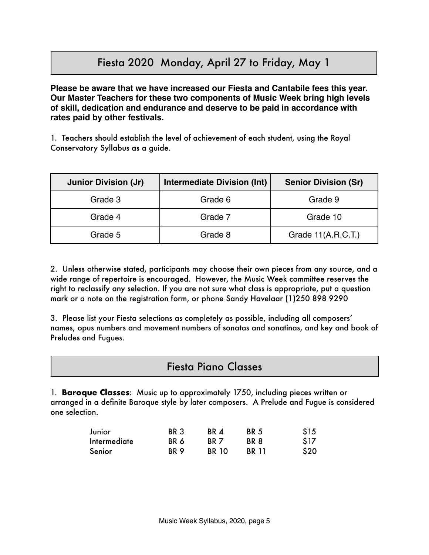## Fiesta 2020 Monday, April 27 to Friday, May 1

**Please be aware that we have increased our Fiesta and Cantabile fees this year. Our Master Teachers for these two components of Music Week bring high levels of skill, dedication and endurance and deserve to be paid in accordance with rates paid by other festivals.**

1. Teachers should establish the level of achievement of each student, using the Royal Conservatory Syllabus as a guide.

| <b>Junior Division (Jr)</b> | <b>Intermediate Division (Int)</b> | <b>Senior Division (Sr)</b> |
|-----------------------------|------------------------------------|-----------------------------|
| Grade 3                     | Grade 6                            | Grade 9                     |
| Grade 4                     | Grade 7                            | Grade 10                    |
| Grade 5                     | Grade 8                            | Grade $11(A.R.C.T.)$        |

2. Unless otherwise stated, participants may choose their own pieces from any source, and a wide range of repertoire is encouraged. However, the Music Week committee reserves the right to reclassify any selection. If you are not sure what class is appropriate, put a question mark or a note on the registration form, or phone Sandy Havelaar (1)250 898 9290

3. Please list your Fiesta selections as completely as possible, including all composers' names, opus numbers and movement numbers of sonatas and sonatinas, and key and book of Preludes and Fugues.

#### Fiesta Piano Classes

1. **Baroque Classes**: Music up to approximately 1750, including pieces written or arranged in a definite Baroque style by later composers. A Prelude and Fugue is considered one selection.

| Junior              | BR <sub>3</sub> | BR 4            | BR 5         | \$15 |
|---------------------|-----------------|-----------------|--------------|------|
| <b>Intermediate</b> | BR 6            | BR <sub>7</sub> | BR 8         | \$17 |
| Senior              | RR 9            | <b>BR 10</b>    | <b>BR</b> 11 | \$20 |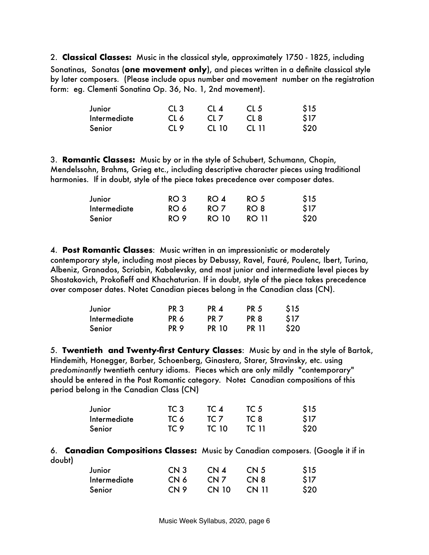2. **Classical Classes:** Music in the classical style, approximately 1750 - 1825, including Sonatinas, Sonatas (**one movement only**), and pieces written in a definite classical style by later composers. (Please include opus number and movement number on the registration form: eg. Clementi Sonatina Op. 36, No. 1, 2nd movement).

| Junior              | CL <sub>3</sub> | CL <sub>4</sub> | CL <sub>5</sub> | \$15 |
|---------------------|-----------------|-----------------|-----------------|------|
| <b>Intermediate</b> | CL 6            | CL <sub>7</sub> | CL <sub>8</sub> | \$17 |
| Senior              | CL <sub>9</sub> | CL 10           | CL 11           | \$20 |

3. **Romantic Classes:** Music by or in the style of Schubert, Schumann, Chopin, Mendelssohn, Brahms, Grieg etc., including descriptive character pieces using traditional harmonies. If in doubt, style of the piece takes precedence over composer dates.

| Junior              | RO <sub>3</sub> | RO 4         | RO <sub>5</sub> | \$15 |
|---------------------|-----------------|--------------|-----------------|------|
| <b>Intermediate</b> | RO 6            | RO 7         | RO 8            | \$17 |
| Senior              | RO <sub>9</sub> | <b>RO 10</b> | RO 11           | \$20 |

4. **Post Romantic Classes**: Music written in an impressionistic or moderately contemporary style, including most pieces by Debussy, Ravel, Fauré, Poulenc, Ibert, Turina, Albeniz, Granados, Scriabin, Kabalevsky, and most junior and intermediate level pieces by Shostakovich, Prokofieff and Khachaturian. If in doubt, style of the piece takes precedence over composer dates. Note**:** Canadian pieces belong in the Canadian class (CN).

| Junior              | <b>PR 3</b>     | PR 4            | <b>PR 5</b> | \$15 |
|---------------------|-----------------|-----------------|-------------|------|
| <b>Intermediate</b> | PR 6            | PR <sub>7</sub> | PR 8        | \$17 |
| Senior              | PR <sub>9</sub> | <b>PR 10</b>    | PR 11       | \$20 |

5. **Twentieth and Twenty-first Century Classes**: Music by and in the style of Bartok, Hindemith, Honegger, Barber, Schoenberg, Ginastera, Starer, Stravinsky, etc. using *predominantly* twentieth century idioms. Pieces which are only mildly "contemporary" should be entered in the Post Romantic category. Note**:** Canadian compositions of this period belong in the Canadian Class (CN)

| Junior              | TC 3 | TC 4         | TC 5  | \$15 |
|---------------------|------|--------------|-------|------|
| <b>Intermediate</b> | TC 6 | TC 7         | TC 8  | \$17 |
| Senior              | TC 9 | <b>TC 10</b> | TC 11 | \$20 |

6. **Canadian Compositions Classes:** Music by Canadian composers. (Google it if in doubt)

| Junior              | CN <sub>3</sub> | CN <sub>4</sub> | CN <sub>5</sub> | \$15 |
|---------------------|-----------------|-----------------|-----------------|------|
| <b>Intermediate</b> | CN 6            | CN <sub>7</sub> | CN 8            | \$17 |
| Senior              | CN <sub>9</sub> | <b>CN 10</b>    | CN 11           | \$20 |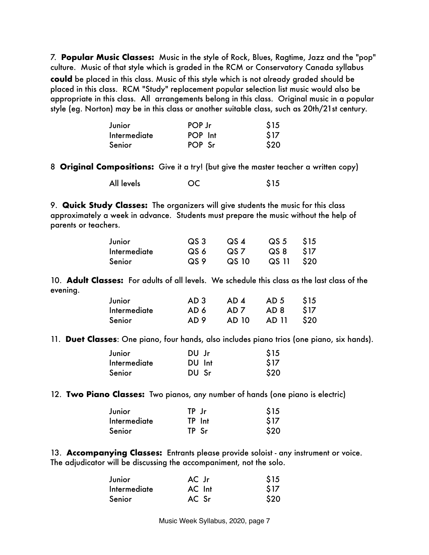7. **Popular Music Classes:** Music in the style of Rock, Blues, Ragtime, Jazz and the "pop" culture. Music of that style which is graded in the RCM or Conservatory Canada syllabus **could** be placed in this class. Music of this style which is not already graded should be placed in this class. RCM "Study" replacement popular selection list music would also be appropriate in this class. All arrangements belong in this class. Original music in a popular style (eg. Norton) may be in this class or another suitable class, such as 20th/21st century.

| Junior       | POP Jr  | \$15 |
|--------------|---------|------|
| Intermediate | POP Int | \$17 |
| Senior       | POP Sr  | \$20 |

8 **Original Compositions:** Give it a try! (but give the master teacher a written copy)

 All levels OC \$15

9. **Quick Study Classes:** The organizers will give students the music for this class approximately a week in advance. Students must prepare the music without the help of parents or teachers.

| Junior       | $\overline{S}$ QS 3 | $\overline{S}$ $\overline{S}$ $\overline{A}$ | QS 5 \$15  |  |
|--------------|---------------------|----------------------------------------------|------------|--|
| Intermediate | QS 6                | QS 7                                         | QS 8 S17   |  |
| Senior       | QS 9                | QS 10                                        | QS 11 \$20 |  |

10. **Adult Classes:** For adults of all levels. We schedule this class as the last class of the evening.

| Junior       | AD 3 | AD 4 | AD 5 \$15        |  |
|--------------|------|------|------------------|--|
| Intermediate | AD 6 | AD 7 | AD 8 \$17        |  |
| Senior       | AD 9 |      | AD 10 AD 11 \$20 |  |

11. **Duet Classes**: One piano, four hands, also includes piano trios (one piano, six hands).

| Junior              | DU Jr  | \$15 |
|---------------------|--------|------|
| <b>Intermediate</b> | DU Int | \$17 |
| Senior              | DU Sr  | \$20 |

12. **Two Piano Classes:** Two pianos, any number of hands (one piano is electric)

| Junior              | TP Jr  | \$15 |
|---------------------|--------|------|
| <b>Intermediate</b> | TP Int | \$17 |
| Senior              | TP Sr  | \$20 |

13. **Accompanying Classes:** Entrants please provide soloist - any instrument or voice. The adjudicator will be discussing the accompaniment, not the solo.

| Junior              | AC Jr  | \$15 |
|---------------------|--------|------|
| <b>Intermediate</b> | AC Int | \$17 |
| Senior              | AC Sr  | \$20 |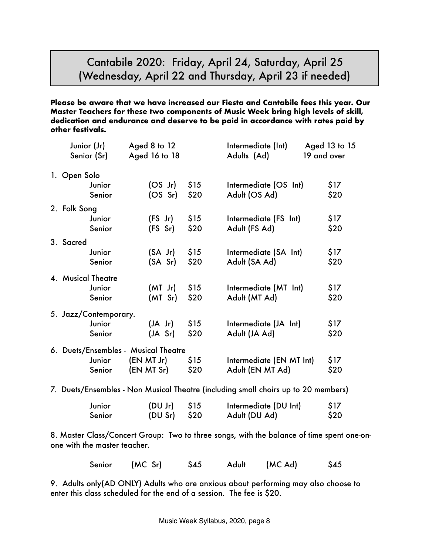#### Cantabile 2020: Friday, April 24, Saturday, April 25 (Wednesday, April 22 and Thursday, April 23 if needed)

**Please be aware that we have increased our Fiesta and Cantabile fees this year. Our Master Teachers for these two components of Music Week bring high levels of skill, dedication and endurance and deserve to be paid in accordance with rates paid by other festivals.** 

| Junior (Jr)<br>Senior (Sr)           | Aged 8 to 12<br>Aged 16 to 18 |      | Intermediate (Int)<br>Adults (Ad)                                                  | Aged 13 to 15<br>19 and over |
|--------------------------------------|-------------------------------|------|------------------------------------------------------------------------------------|------------------------------|
| 1. Open Solo                         |                               |      |                                                                                    |                              |
| Junior                               | (OS Jr)                       | \$15 | Intermediate (OS Int)                                                              | \$17                         |
| Senior                               | (OS Sr)                       | \$20 | Adult (OS Ad)                                                                      | \$20                         |
| 2. Folk Song                         |                               |      |                                                                                    |                              |
| Junior                               | $(FS$ Jr)                     | \$15 | Intermediate (FS Int)                                                              | \$17                         |
| Senior                               | (FS Sr)                       | \$20 | Adult (FS Ad)                                                                      | \$20                         |
| 3. Sacred                            |                               |      |                                                                                    |                              |
| Junior                               | $(SA$ Jr)                     | \$15 | Intermediate (SA Int)                                                              | \$17                         |
| Senior                               | (SA Sr)                       | \$20 | Adult (SA Ad)                                                                      | \$20                         |
| 4. Musical Theatre                   |                               |      |                                                                                    |                              |
| Junior                               | $(MI$ Jr)                     | \$15 | Intermediate (MT Int)                                                              | \$17                         |
| Senior                               | (MT Sr)                       | \$20 | Adult (MT Ad)                                                                      | \$20                         |
| 5. Jazz/Contemporary.                |                               |      |                                                                                    |                              |
| Junior                               | (JA Jr)                       | \$15 | Intermediate (JA Int)                                                              | \$17                         |
| Senior                               | (JA Sr)                       | \$20 | Adult (JA Ad)                                                                      | \$20                         |
| 6. Duets/Ensembles - Musical Theatre |                               |      |                                                                                    |                              |
| Junior                               | (EN MT Jr)                    | \$15 | Intermediate (EN MT Int)                                                           | \$17                         |
| Senior                               | (EN MT Sr)                    | \$20 | Adult (EN MT Ad)                                                                   | \$20                         |
|                                      |                               |      | 7. Duets/Ensembles - Non Musical Theatre (including small choirs up to 20 members) |                              |

| Junior | $(DU Jr)$ \$15 | Intermediate (DU Int) | \$17 |
|--------|----------------|-----------------------|------|
| Senior | $(DU Sr)$ \$20 | Adult (DU Ad)         | \$20 |

8. Master Class/Concert Group: Two to three songs, with the balance of time spent one-onone with the master teacher.

| Senior (MC Sr) | \$45 | Adult (MC Ad) | \$45 |
|----------------|------|---------------|------|
|                |      |               |      |

9. Adults only(AD ONLY) Adults who are anxious about performing may also choose to enter this class scheduled for the end of a session. The fee is \$20.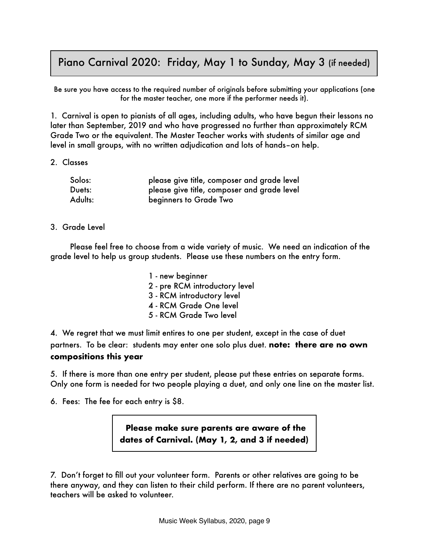#### Piano Carnival 2020: Friday, May 1 to Sunday, May 3 (if needed)

Be sure you have access to the required number of originals before submitting your applications (one for the master teacher, one more if the performer needs it).

1. Carnival is open to pianists of all ages, including adults, who have begun their lessons no later than September, 2019 and who have progressed no further than approximately RCM Grade Two or the equivalent. The Master Teacher works with students of similar age and level in small groups, with no written adjudication and lots of hands–on help.

2. Classes

| Solos:  | please give title, composer and grade level |
|---------|---------------------------------------------|
| Duets:  | please give title, composer and grade level |
| Adults: | beginners to Grade Two                      |

3. Grade Level

Please feel free to choose from a wide variety of music. We need an indication of the grade level to help us group students. Please use these numbers on the entry form.

> 1 - new beginner 2 - pre RCM introductory level 3 - RCM introductory level 4 - RCM Grade One level 5 - RCM Grade Two level

4. We regret that we must limit entires to one per student, except in the case of duet partners. To be clear: students may enter one solo plus duet. **note: there are no own compositions this year** 

5. If there is more than one entry per student, please put these entries on separate forms. Only one form is needed for two people playing a duet, and only one line on the master list.

6. Fees: The fee for each entry is \$8.

**Please make sure parents are aware of the dates of Carnival. (May 1, 2, and 3 if needed)**

7. Don't forget to fill out your volunteer form. Parents or other relatives are going to be there anyway, and they can listen to their child perform. If there are no parent volunteers, teachers will be asked to volunteer.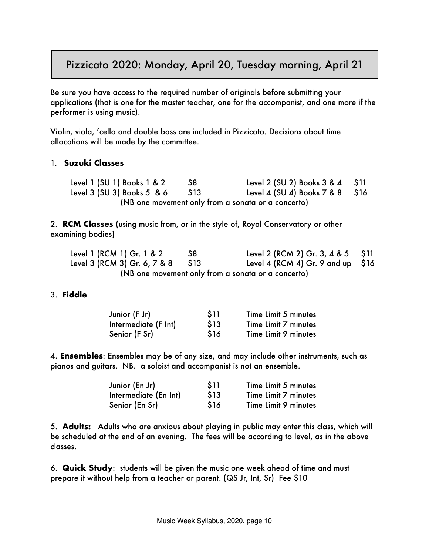#### Pizzicato 2020: Monday, April 20, Tuesday morning, April 21

Be sure you have access to the required number of originals before submitting your applications (that is one for the master teacher, one for the accompanist, and one more if the performer is using music).

Violin, viola, 'cello and double bass are included in Pizzicato. Decisions about time allocations will be made by the committee.

#### 1. **Suzuki Classes**

Level 1 (SU 1) Books 1 & 2  $\frac{1}{2}$  (SU 2) Books 3 & 4 \ \$11 Level 3 (SU 3) Books 5 & 6 \$13 Level 4 (SU 4) Books 7 & 8 \$16 (NB one movement only from a sonata or a concerto)

2. **RCM Classes** (using music from, or in the style of, Royal Conservatory or other examining bodies)

| Level 1 (RCM 1) Gr. 1 & 2    | -S8  | Level 2 (RCM 2) Gr. 3, 4 & 5 $$11$                 |  |
|------------------------------|------|----------------------------------------------------|--|
| Level 3 (RCM 3) Gr. 6, 7 & 8 | S 13 | Level 4 (RCM 4) Gr. 9 and up $$16$                 |  |
|                              |      | (NB one movement only from a sonata or a concerto) |  |

#### 3. **Fiddle**

| Junior (F Jr)        | <b>S11</b> | Time Limit 5 minutes |
|----------------------|------------|----------------------|
| Intermediate (F Int) | \$13       | Time Limit 7 minutes |
| Senior (F Sr)        | \$16       | Time Limit 9 minutes |

4. **Ensembles**: Ensembles may be of any size, and may include other instruments, such as pianos and guitars. NB. a soloist and accompanist is not an ensemble.

| Junior (En Jr)        | \$11 | Time Limit 5 minutes |
|-----------------------|------|----------------------|
| Intermediate (En Int) | \$13 | Time Limit 7 minutes |
| Senior (En Sr)        | \$16 | Time Limit 9 minutes |

5. **Adults:** Adults who are anxious about playing in public may enter this class, which will be scheduled at the end of an evening. The fees will be according to level, as in the above classes.

6. **Quick Study**: students will be given the music one week ahead of time and must prepare it without help from a teacher or parent. (QS Jr, Int, Sr) Fee \$10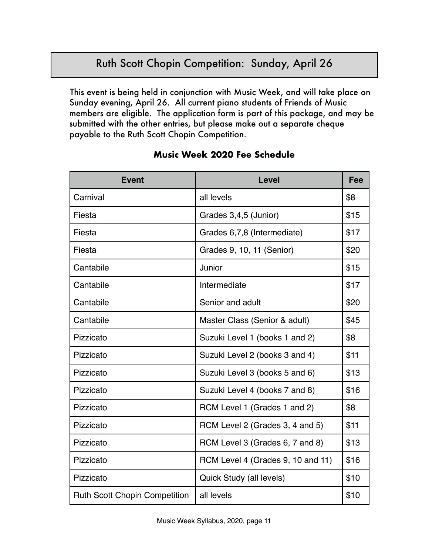## Ruth Scott Chopin Competition: Sunday, April 26

This event is being held in conjunction with Music Week, and will take place on Sunday evening, April 26. All current piano students of Friends of Music members are eligible. The application form is part of this package, and may be submitted with the other entries, but please make out a separate cheque payable to the Ruth Scott Chopin Competition.

| <b>Event</b>                         | <b>Level</b>                      | Fee  |
|--------------------------------------|-----------------------------------|------|
| Carnival                             | all levels                        | \$8  |
| Fiesta                               | Grades 3,4,5 (Junior)             | \$15 |
| Fiesta                               | Grades 6,7,8 (Intermediate)       | \$17 |
| Fiesta                               | Grades 9, 10, 11 (Senior)         | \$20 |
| Cantabile                            | Junior                            | \$15 |
| Cantabile                            | Intermediate                      | \$17 |
| Cantabile                            | Senior and adult                  | \$20 |
| Cantabile                            | Master Class (Senior & adult)     | \$45 |
| Pizzicato                            | Suzuki Level 1 (books 1 and 2)    | \$8  |
| Pizzicato                            | Suzuki Level 2 (books 3 and 4)    | \$11 |
| Pizzicato                            | Suzuki Level 3 (books 5 and 6)    | \$13 |
| Pizzicato                            | Suzuki Level 4 (books 7 and 8)    | \$16 |
| Pizzicato                            | RCM Level 1 (Grades 1 and 2)      | \$8  |
| Pizzicato                            | RCM Level 2 (Grades 3, 4 and 5)   | \$11 |
| Pizzicato                            | RCM Level 3 (Grades 6, 7 and 8)   | \$13 |
| Pizzicato                            | RCM Level 4 (Grades 9, 10 and 11) | \$16 |
| Pizzicato                            | Quick Study (all levels)          | \$10 |
| <b>Ruth Scott Chopin Competition</b> | all levels                        | \$10 |

#### **Music Week 2020 Fee Schedule**